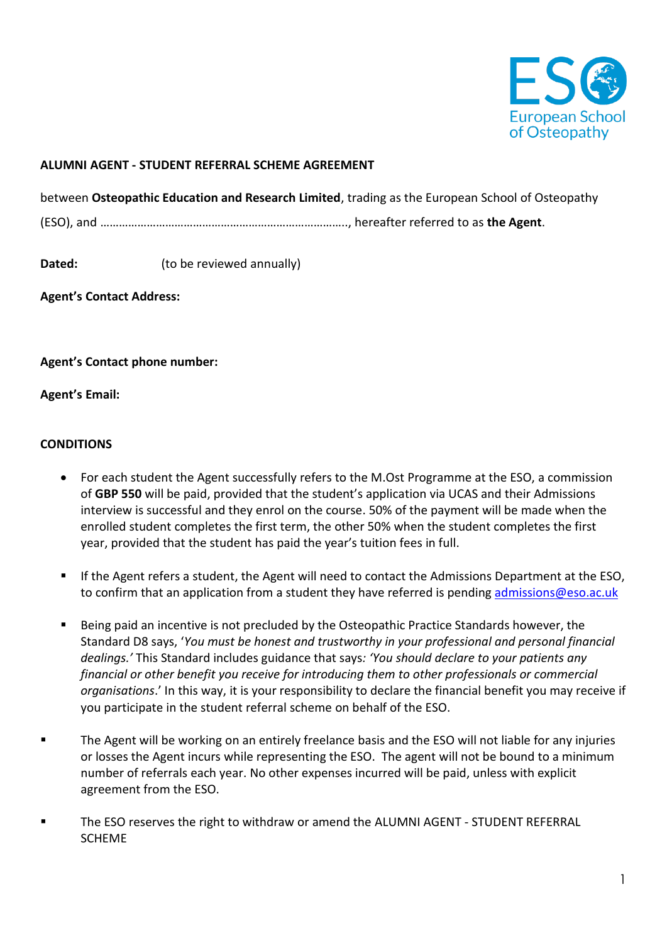

## **ALUMNI AGENT - STUDENT REFERRAL SCHEME AGREEMENT**

between **Osteopathic Education and Research Limited**, trading as the European School of Osteopathy (ESO), and …………………………………………………………………….., hereafter referred to as **the Agent**.

**Dated:** (to be reviewed annually)

**Agent's Contact Address:** 

**Agent's Contact phone number:** 

**Agent's Email:** 

## **CONDITIONS**

- For each student the Agent successfully refers to the M.Ost Programme at the ESO, a commission of **GBP 550** will be paid, provided that the student's application via UCAS and their Admissions interview is successful and they enrol on the course. 50% of the payment will be made when the enrolled student completes the first term, the other 50% when the student completes the first year, provided that the student has paid the year's tuition fees in full.
- If the Agent refers a student, the Agent will need to contact the Admissions Department at the ESO, to confirm that an application from a student they have referred is pending [admissions@eso.ac.uk](mailto:admissions@eso.ac.uk)
- Being paid an incentive is not precluded by the Osteopathic Practice Standards however, the Standard D8 says, '*You must be honest and trustworthy in your professional and personal financial dealings.'* This Standard includes guidance that says*: 'You should declare to your patients any financial or other benefit you receive for introducing them to other professionals or commercial organisations*.' In this way, it is your responsibility to declare the financial benefit you may receive if you participate in the student referral scheme on behalf of the ESO.
- The Agent will be working on an entirely freelance basis and the ESO will not liable for any injuries or losses the Agent incurs while representing the ESO. The agent will not be bound to a minimum number of referrals each year. No other expenses incurred will be paid, unless with explicit agreement from the ESO.
- The ESO reserves the right to withdraw or amend the ALUMNI AGENT STUDENT REFERRAL SCHEME